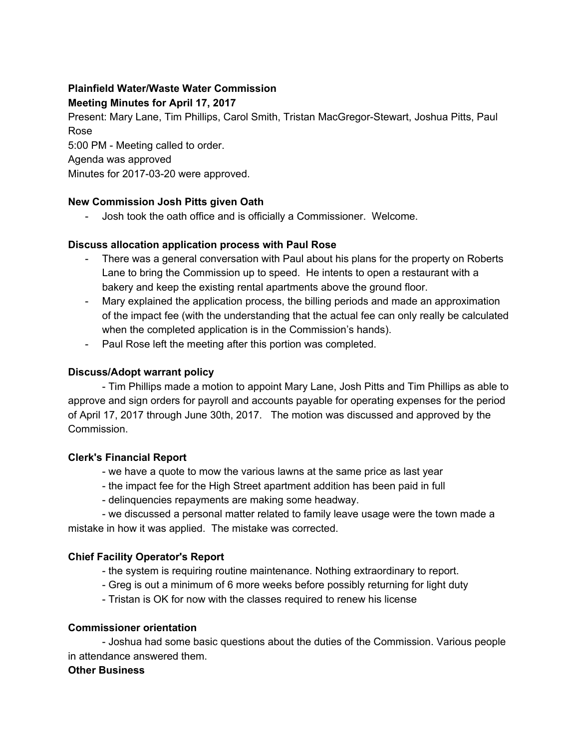# **Plainfield Water/Waste Water Commission**

# **Meeting Minutes for April 17, 2017**

Present: Mary Lane, Tim Phillips, Carol Smith, Tristan MacGregor-Stewart, Joshua Pitts, Paul Rose

5:00 PM - Meeting called to order.

Agenda was approved

Minutes for 2017-03-20 were approved.

## **New Commission Josh Pitts given Oath**

- Josh took the oath office and is officially a Commissioner. Welcome.

## **Discuss allocation application process with Paul Rose**

- There was a general conversation with Paul about his plans for the property on Roberts Lane to bring the Commission up to speed. He intents to open a restaurant with a bakery and keep the existing rental apartments above the ground floor.
- Mary explained the application process, the billing periods and made an approximation of the impact fee (with the understanding that the actual fee can only really be calculated when the completed application is in the Commission's hands).
- Paul Rose left the meeting after this portion was completed.

## **Discuss/Adopt warrant policy**

- Tim Phillips made a motion to appoint Mary Lane, Josh Pitts and Tim Phillips as able to approve and sign orders for payroll and accounts payable for operating expenses for the period of April 17, 2017 through June 30th, 2017. The motion was discussed and approved by the Commission.

#### **Clerk's Financial Report**

- we have a quote to mow the various lawns at the same price as last year
- the impact fee for the High Street apartment addition has been paid in full
- delinquencies repayments are making some headway.

- we discussed a personal matter related to family leave usage were the town made a mistake in how it was applied. The mistake was corrected.

## **Chief Facility Operator's Report**

- the system is requiring routine maintenance. Nothing extraordinary to report.
- Greg is out a minimum of 6 more weeks before possibly returning for light duty
- Tristan is OK for now with the classes required to renew his license

#### **Commissioner orientation**

- Joshua had some basic questions about the duties of the Commission. Various people in attendance answered them.

#### **Other Business**